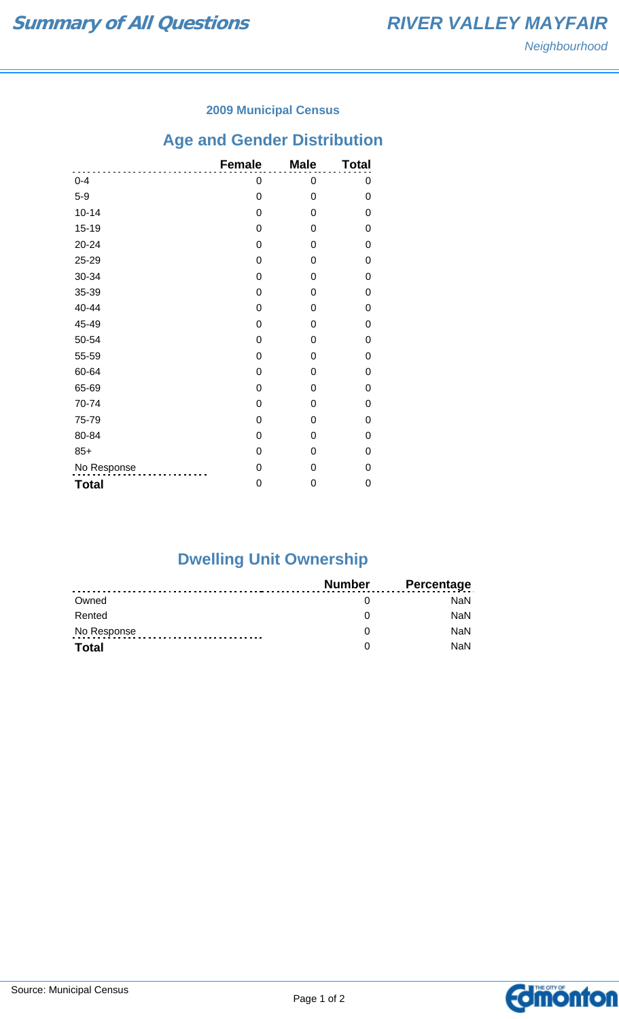### **2009 Municipal Census**

# **Age and Gender Distribution**

|              | <b>Female</b> | <b>Male</b> | <b>Total</b> |
|--------------|---------------|-------------|--------------|
| $0 - 4$      | 0             | 0           | 0            |
| $5-9$        | 0             | 0           | 0            |
| $10 - 14$    | 0             | 0           | 0            |
| $15 - 19$    | 0             | 0           | 0            |
| $20 - 24$    | 0             | 0           | 0            |
| 25-29        | 0             | 0           | 0            |
| 30-34        | 0             | 0           | 0            |
| 35-39        | 0             | 0           | 0            |
| 40-44        | 0             | 0           | 0            |
| 45-49        | 0             | 0           | 0            |
| 50-54        | 0             | 0           | 0            |
| 55-59        | 0             | 0           | 0            |
| 60-64        | 0             | 0           | 0            |
| 65-69        | 0             | 0           | 0            |
| 70-74        | 0             | 0           | 0            |
| 75-79        | 0             | 0           | 0            |
| 80-84        | 0             | 0           | 0            |
| $85+$        | 0             | 0           | 0            |
| No Response  | 0             | 0           | 0            |
| <b>Total</b> | 0             | 0           | 0            |

# **Dwelling Unit Ownership**

|              | Number | <b>Percentage</b> |
|--------------|--------|-------------------|
| Owned        |        | NaN.              |
| Rented       |        | <b>NaN</b>        |
| No Response  |        | <b>NaN</b>        |
| <b>Total</b> |        | <b>NaN</b>        |